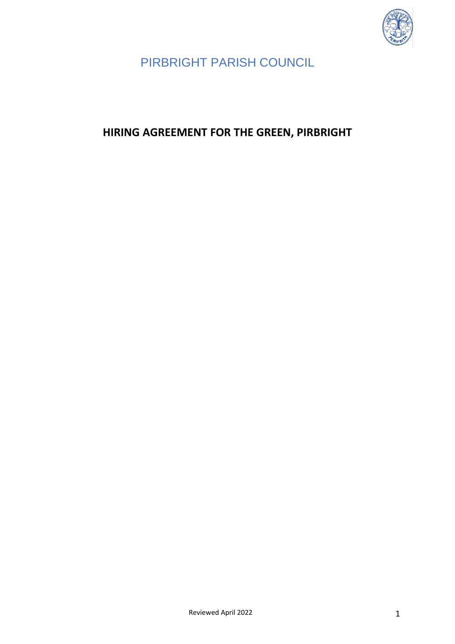

# <span id="page-0-0"></span>**HIRING AGREEMENT FOR THE GREEN, PIRBRIGHT**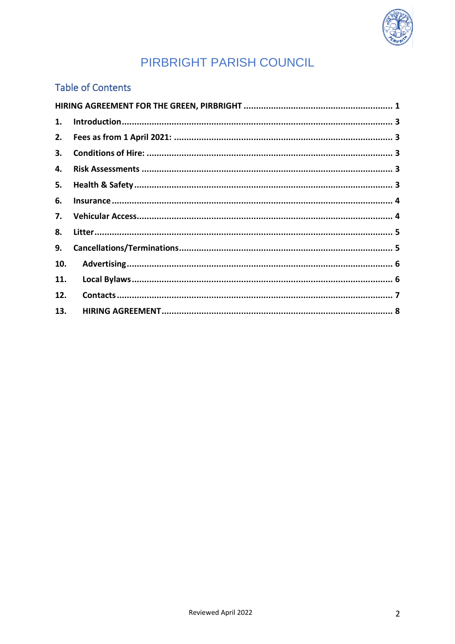

### **Table of Contents**

| 1.  |  |  |
|-----|--|--|
| 2.  |  |  |
| 3.  |  |  |
| 4.  |  |  |
| 5.  |  |  |
| 6.  |  |  |
| 7.  |  |  |
| 8.  |  |  |
| 9.  |  |  |
| 10. |  |  |
| 11. |  |  |
| 12. |  |  |
| 13. |  |  |
|     |  |  |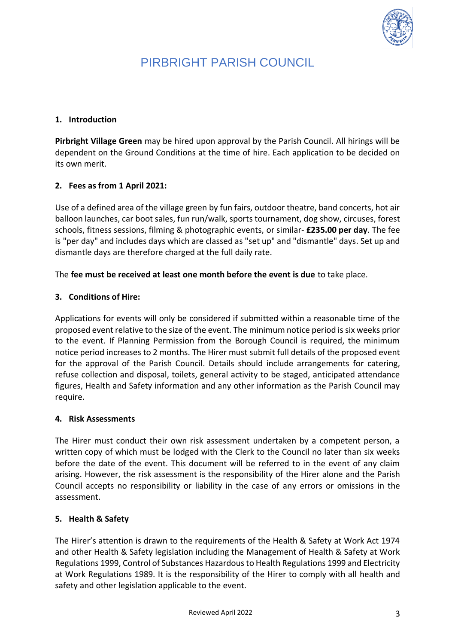

#### <span id="page-2-0"></span>**1. Introduction**

**Pirbright Village Green** may be hired upon approval by the Parish Council. All hirings will be dependent on the Ground Conditions at the time of hire. Each application to be decided on its own merit.

### <span id="page-2-1"></span>**2. Fees as from 1 April 2021:**

Use of a defined area of the village green by fun fairs, outdoor theatre, band concerts, hot air balloon launches, car boot sales, fun run/walk, sports tournament, dog show, circuses, forest schools, fitness sessions, filming & photographic events, or similar- **£235.00 per day**. The fee is "per day" and includes days which are classed as "set up" and "dismantle" days. Set up and dismantle days are therefore charged at the full daily rate.

<span id="page-2-2"></span>The **fee must be received at least one month before the event is due** to take place.

#### **3. Conditions of Hire:**

Applications for events will only be considered if submitted within a reasonable time of the proposed event relative to the size of the event. The minimum notice period is six weeks prior to the event. If Planning Permission from the Borough Council is required, the minimum notice period increases to 2 months. The Hirer must submit full details of the proposed event for the approval of the Parish Council. Details should include arrangements for catering, refuse collection and disposal, toilets, general activity to be staged, anticipated attendance figures, Health and Safety information and any other information as the Parish Council may require.

#### <span id="page-2-3"></span>**4. Risk Assessments**

The Hirer must conduct their own risk assessment undertaken by a competent person, a written copy of which must be lodged with the Clerk to the Council no later than six weeks before the date of the event. This document will be referred to in the event of any claim arising. However, the risk assessment is the responsibility of the Hirer alone and the Parish Council accepts no responsibility or liability in the case of any errors or omissions in the assessment.

#### <span id="page-2-4"></span>**5. Health & Safety**

The Hirer's attention is drawn to the requirements of the Health & Safety at Work Act 1974 and other Health & Safety legislation including the Management of Health & Safety at Work Regulations 1999, Control of Substances Hazardous to Health Regulations 1999 and Electricity at Work Regulations 1989. It is the responsibility of the Hirer to comply with all health and safety and other legislation applicable to the event.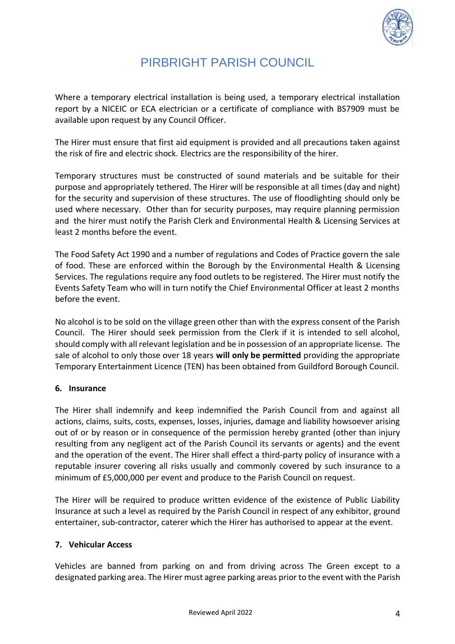

Where a temporary electrical installation is being used, a temporary electrical installation report by a NICEIC or ECA electrician or a certificate of compliance with BS7909 must be available upon request by any Council Officer.

The Hirer must ensure that first aid equipment is provided and all precautions taken against the risk of fire and electric shock. Electrics are the responsibility of the hirer.

Temporary structures must be constructed of sound materials and be suitable for their purpose and appropriately tethered. The Hirer will be responsible at all times (day and night) for the security and supervision of these structures. The use of floodlighting should only be used where necessary. Other than for security purposes, may require planning permission and the hirer must notify the Parish Clerk and Environmental Health & Licensing Services at least 2 months before the event.

The Food Safety Act 1990 and a number of regulations and Codes of Practice govern the sale of food. These are enforced within the Borough by the Environmental Health & Licensing Services. The regulations require any food outlets to be registered. The Hirer must notify the Events Safety Team who will in turn notify the Chief Environmental Officer at least 2 months before the event.

No alcohol is to be sold on the village green other than with the express consent of the Parish Council. The Hirer should seek permission from the Clerk if it is intended to sell alcohol, should comply with all relevant legislation and be in possession of an appropriate license. The sale of alcohol to only those over 18 years **will only be permitted** providing the appropriate Temporary Entertainment Licence (TEN) has been obtained from Guildford Borough Council.

### <span id="page-3-0"></span>**6. Insurance**

The Hirer shall indemnify and keep indemnified the Parish Council from and against all actions, claims, suits, costs, expenses, losses, injuries, damage and liability howsoever arising out of or by reason or in consequence of the permission hereby granted (other than injury resulting from any negligent act of the Parish Council its servants or agents) and the event and the operation of the event. The Hirer shall effect a third-party policy of insurance with a reputable insurer covering all risks usually and commonly covered by such insurance to a minimum of £5,000,000 per event and produce to the Parish Council on request.

The Hirer will be required to produce written evidence of the existence of Public Liability Insurance at such a level as required by the Parish Council in respect of any exhibitor, ground entertainer, sub-contractor, caterer which the Hirer has authorised to appear at the event.

### <span id="page-3-1"></span>**7. Vehicular Access**

Vehicles are banned from parking on and from driving across The Green except to a designated parking area. The Hirer must agree parking areas prior to the event with the Parish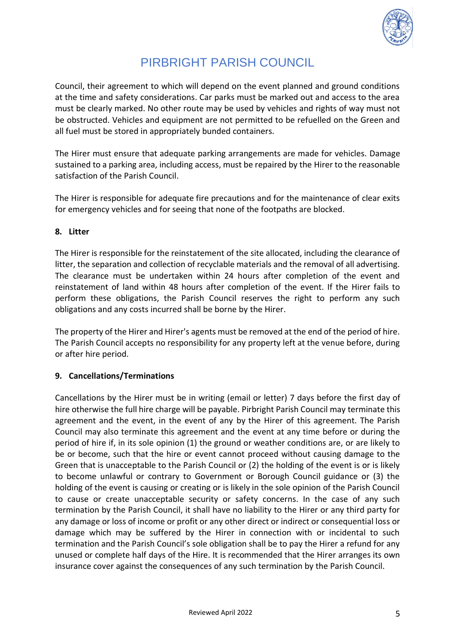

Council, their agreement to which will depend on the event planned and ground conditions at the time and safety considerations. Car parks must be marked out and access to the area must be clearly marked. No other route may be used by vehicles and rights of way must not be obstructed. Vehicles and equipment are not permitted to be refuelled on the Green and all fuel must be stored in appropriately bunded containers.

The Hirer must ensure that adequate parking arrangements are made for vehicles. Damage sustained to a parking area, including access, must be repaired by the Hirer to the reasonable satisfaction of the Parish Council.

The Hirer is responsible for adequate fire precautions and for the maintenance of clear exits for emergency vehicles and for seeing that none of the footpaths are blocked.

#### <span id="page-4-0"></span>**8. Litter**

The Hirer is responsible for the reinstatement of the site allocated, including the clearance of litter, the separation and collection of recyclable materials and the removal of all advertising. The clearance must be undertaken within 24 hours after completion of the event and reinstatement of land within 48 hours after completion of the event. If the Hirer fails to perform these obligations, the Parish Council reserves the right to perform any such obligations and any costs incurred shall be borne by the Hirer.

The property of the Hirer and Hirer's agents must be removed at the end of the period of hire. The Parish Council accepts no responsibility for any property left at the venue before, during or after hire period.

### <span id="page-4-1"></span>**9. Cancellations/Terminations**

Cancellations by the Hirer must be in writing (email or letter) 7 days before the first day of hire otherwise the full hire charge will be payable. Pirbright Parish Council may terminate this agreement and the event, in the event of any by the Hirer of this agreement. The Parish Council may also terminate this agreement and the event at any time before or during the period of hire if, in its sole opinion (1) the ground or weather conditions are, or are likely to be or become, such that the hire or event cannot proceed without causing damage to the Green that is unacceptable to the Parish Council or (2) the holding of the event is or is likely to become unlawful or contrary to Government or Borough Council guidance or (3) the holding of the event is causing or creating or is likely in the sole opinion of the Parish Council to cause or create unacceptable security or safety concerns. In the case of any such termination by the Parish Council, it shall have no liability to the Hirer or any third party for any damage or loss of income or profit or any other direct or indirect or consequential loss or damage which may be suffered by the Hirer in connection with or incidental to such termination and the Parish Council's sole obligation shall be to pay the Hirer a refund for any unused or complete half days of the Hire. It is recommended that the Hirer arranges its own insurance cover against the consequences of any such termination by the Parish Council.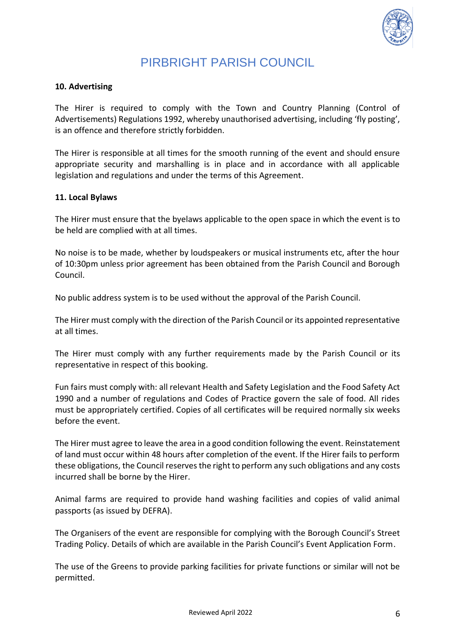

#### <span id="page-5-0"></span>**10. Advertising**

The Hirer is required to comply with the Town and Country Planning (Control of Advertisements) Regulations 1992, whereby unauthorised advertising, including 'fly posting', is an offence and therefore strictly forbidden.

The Hirer is responsible at all times for the smooth running of the event and should ensure appropriate security and marshalling is in place and in accordance with all applicable legislation and regulations and under the terms of this Agreement.

#### <span id="page-5-1"></span>**11. Local Bylaws**

The Hirer must ensure that the byelaws applicable to the open space in which the event is to be held are complied with at all times.

No noise is to be made, whether by loudspeakers or musical instruments etc, after the hour of 10:30pm unless prior agreement has been obtained from the Parish Council and Borough Council.

No public address system is to be used without the approval of the Parish Council.

The Hirer must comply with the direction of the Parish Council or its appointed representative at all times.

The Hirer must comply with any further requirements made by the Parish Council or its representative in respect of this booking.

Fun fairs must comply with: all relevant Health and Safety Legislation and the Food Safety Act 1990 and a number of regulations and Codes of Practice govern the sale of food. All rides must be appropriately certified. Copies of all certificates will be required normally six weeks before the event.

The Hirer must agree to leave the area in a good condition following the event. Reinstatement of land must occur within 48 hours after completion of the event. If the Hirer fails to perform these obligations, the Council reserves the right to perform any such obligations and any costs incurred shall be borne by the Hirer.

Animal farms are required to provide hand washing facilities and copies of valid animal passports (as issued by DEFRA).

The Organisers of the event are responsible for complying with the Borough Council's Street Trading Policy. Details of which are available in the Parish Council's Event Application Form.

The use of the Greens to provide parking facilities for private functions or similar will not be permitted.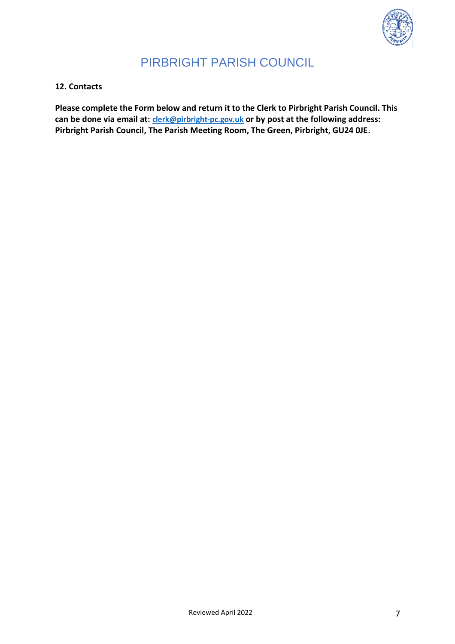

### <span id="page-6-0"></span>**12. Contacts**

**Please complete the Form below and return it to the Clerk to Pirbright Parish Council. This can be done via email at: [clerk@pirbright-pc.gov.uk](mailto:clerk@pirbright-pc.gov.uk) or by post at the following address: Pirbright Parish Council, The Parish Meeting Room, The Green, Pirbright, GU24 0JE.**